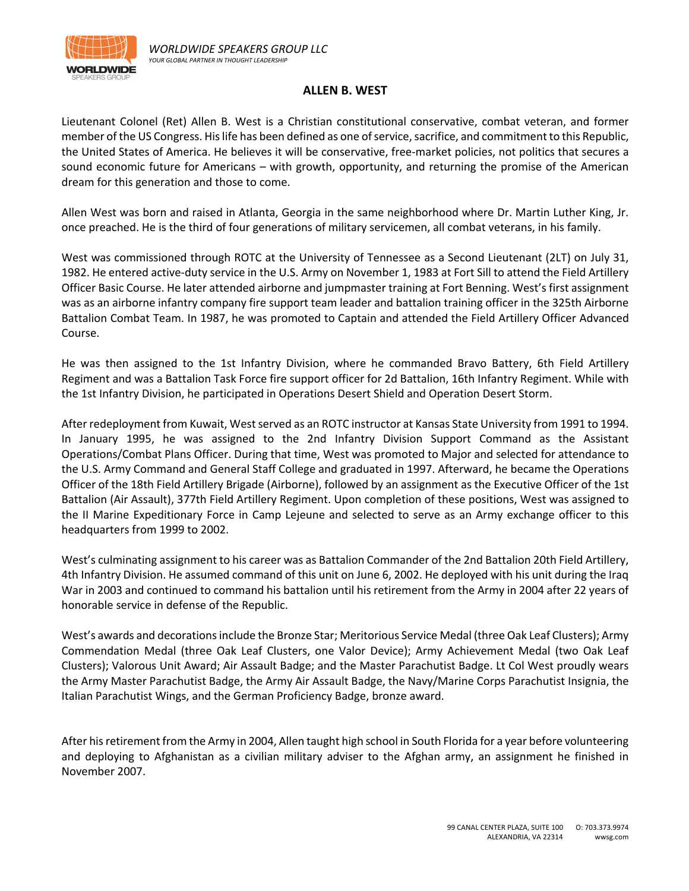

## **ALLEN B. WEST**

Lieutenant Colonel (Ret) Allen B. West is a Christian constitutional conservative, combat veteran, and former member of the US Congress. His life has been defined as one of service, sacrifice, and commitment to this Republic, the United States of America. He believes it will be conservative, free-market policies, not politics that secures a sound economic future for Americans – with growth, opportunity, and returning the promise of the American dream for this generation and those to come.

Allen West was born and raised in Atlanta, Georgia in the same neighborhood where Dr. Martin Luther King, Jr. once preached. He is the third of four generations of military servicemen, all combat veterans, in his family.

West was commissioned through ROTC at the University of Tennessee as a Second Lieutenant (2LT) on July 31, 1982. He entered active-duty service in the U.S. Army on November 1, 1983 at Fort Sill to attend the Field Artillery Officer Basic Course. He later attended airborne and jumpmaster training at Fort Benning. West's first assignment was as an airborne infantry company fire support team leader and battalion training officer in the 325th Airborne Battalion Combat Team. In 1987, he was promoted to Captain and attended the Field Artillery Officer Advanced Course.

He was then assigned to the 1st Infantry Division, where he commanded Bravo Battery, 6th Field Artillery Regiment and was a Battalion Task Force fire support officer for 2d Battalion, 16th Infantry Regiment. While with the 1st Infantry Division, he participated in Operations Desert Shield and Operation Desert Storm.

After redeployment from Kuwait, West served as an ROTC instructor at Kansas State University from 1991 to 1994. In January 1995, he was assigned to the 2nd Infantry Division Support Command as the Assistant Operations/Combat Plans Officer. During that time, West was promoted to Major and selected for attendance to the U.S. Army Command and General Staff College and graduated in 1997. Afterward, he became the Operations Officer of the 18th Field Artillery Brigade (Airborne), followed by an assignment as the Executive Officer of the 1st Battalion (Air Assault), 377th Field Artillery Regiment. Upon completion of these positions, West was assigned to the II Marine Expeditionary Force in Camp Lejeune and selected to serve as an Army exchange officer to this headquarters from 1999 to 2002.

West's culminating assignment to his career was as Battalion Commander of the 2nd Battalion 20th Field Artillery, 4th Infantry Division. He assumed command of this unit on June 6, 2002. He deployed with his unit during the Iraq War in 2003 and continued to command his battalion until his retirement from the Army in 2004 after 22 years of honorable service in defense of the Republic.

West's awards and decorations include the Bronze Star; Meritorious Service Medal (three Oak Leaf Clusters); Army Commendation Medal (three Oak Leaf Clusters, one Valor Device); Army Achievement Medal (two Oak Leaf Clusters); Valorous Unit Award; Air Assault Badge; and the Master Parachutist Badge. Lt Col West proudly wears the Army Master Parachutist Badge, the Army Air Assault Badge, the Navy/Marine Corps Parachutist Insignia, the Italian Parachutist Wings, and the German Proficiency Badge, bronze award.

After his retirement from the Army in 2004, Allen taught high school in South Florida for a year before volunteering and deploying to Afghanistan as a civilian military adviser to the Afghan army, an assignment he finished in November 2007.